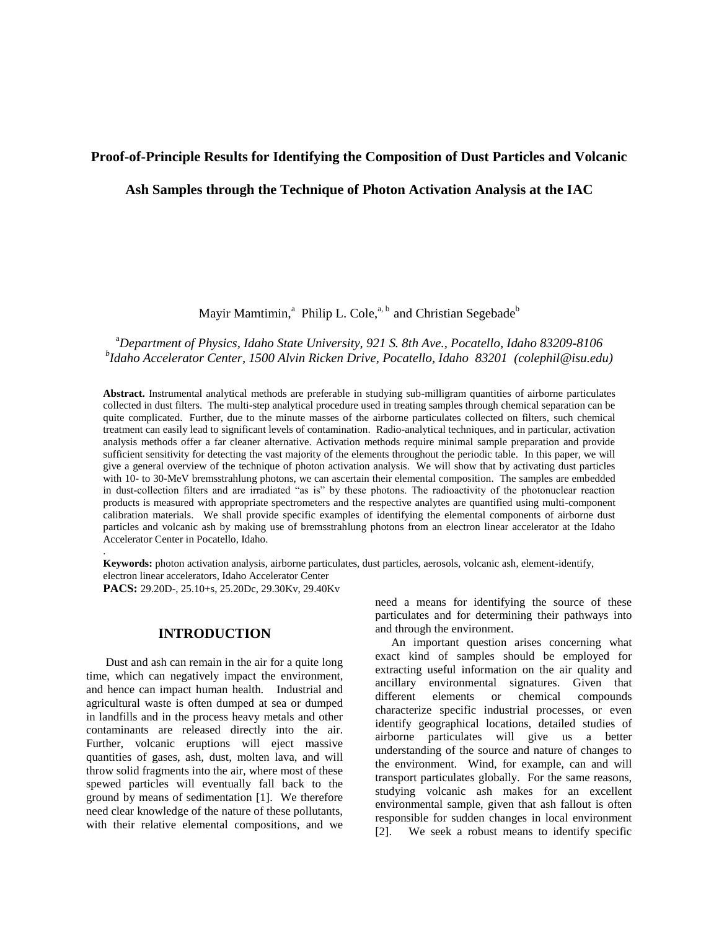# **Proof-of-Principle Results for Identifying the Composition of Dust Particles and Volcanic**

## **Ash Samples through the Technique of Photon Activation Analysis at the IAC**

Mayir Mamtimin,<sup>a</sup> Philip L. Cole,<sup>a, b</sup> and Christian Segebade<sup>b</sup>

# <sup>a</sup>*Department of Physics, Idaho State University, 921 S. 8th Ave., Pocatello, Idaho 83209-8106 b Idaho Accelerator Center, 1500 Alvin Ricken Drive, Pocatello, Idaho 83201 (colephil@isu.edu)*

**Abstract.** Instrumental analytical methods are preferable in studying sub-milligram quantities of airborne particulates collected in dust filters. The multi-step analytical procedure used in treating samples through chemical separation can be quite complicated. Further, due to the minute masses of the airborne particulates collected on filters, such chemical treatment can easily lead to significant levels of contamination. Radio-analytical techniques, and in particular, activation analysis methods offer a far cleaner alternative. Activation methods require minimal sample preparation and provide sufficient sensitivity for detecting the vast majority of the elements throughout the periodic table. In this paper, we will give a general overview of the technique of photon activation analysis. We will show that by activating dust particles with 10- to 30-MeV bremsstrahlung photons, we can ascertain their elemental composition. The samples are embedded in dust-collection filters and are irradiated "as is" by these photons. The radioactivity of the photonuclear reaction products is measured with appropriate spectrometers and the respective analytes are quantified using multi-component calibration materials. We shall provide specific examples of identifying the elemental components of airborne dust particles and volcanic ash by making use of bremsstrahlung photons from an electron linear accelerator at the Idaho Accelerator Center in Pocatello, Idaho.

**Keywords:** photon activation analysis, airborne particulates, dust particles, aerosols, volcanic ash, element-identify, electron linear accelerators, Idaho Accelerator Center **PACS:** 29.20D-, 25.10+s, 25.20Dc, 29.30Kv, 29.40Kv

## **INTRODUCTION**

.

Dust and ash can remain in the air for a quite long time, which can negatively impact the environment, and hence can impact human health. Industrial and agricultural waste is often dumped at sea or dumped in landfills and in the process heavy metals and other contaminants are released directly into the air. Further, volcanic eruptions will eject massive quantities of gases, ash, dust, molten lava, and will throw solid fragments into the air, where most of these spewed particles will eventually fall back to the ground by means of sedimentation [1]. We therefore need clear knowledge of the nature of these pollutants, with their relative elemental compositions, and we

need a means for identifying the source of these particulates and for determining their pathways into and through the environment.

An important question arises concerning what exact kind of samples should be employed for extracting useful information on the air quality and ancillary environmental signatures. Given that different elements or chemical compounds characterize specific industrial processes, or even identify geographical locations, detailed studies of airborne particulates will give us a better understanding of the source and nature of changes to the environment. Wind, for example, can and will transport particulates globally. For the same reasons, studying volcanic ash makes for an excellent environmental sample, given that ash fallout is often responsible for sudden changes in local environment [2]. We seek a robust means to identify specific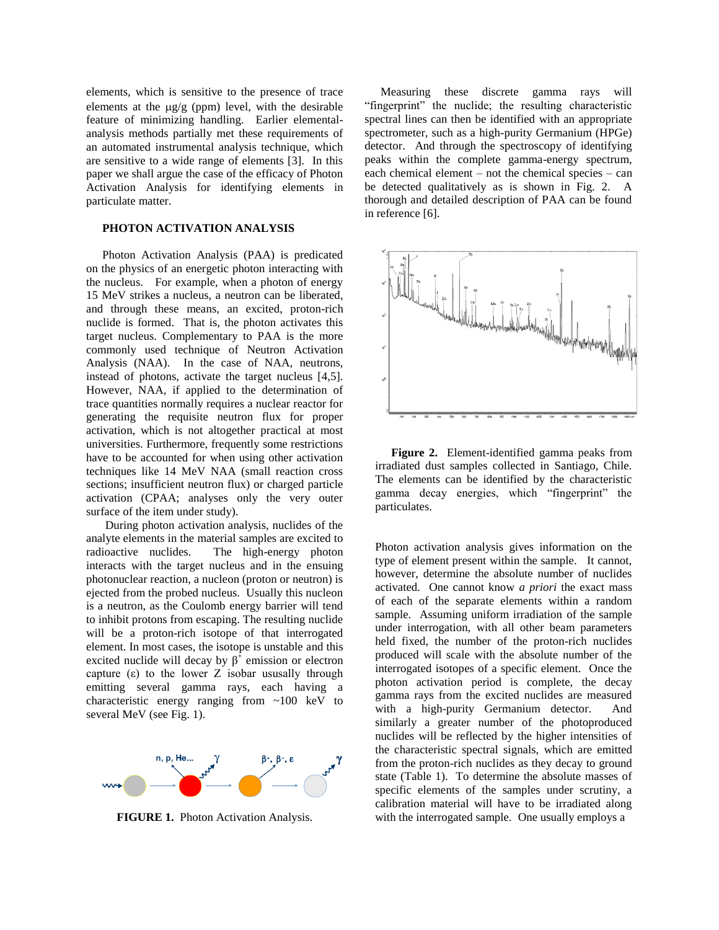elements, which is sensitive to the presence of trace elements at the  $\mu$ g/g (ppm) level, with the desirable feature of minimizing handling. Earlier elementalanalysis methods partially met these requirements of an automated instrumental analysis technique, which are sensitive to a wide range of elements [3]. In this paper we shall argue the case of the efficacy of Photon Activation Analysis for identifying elements in particulate matter.

### **PHOTON ACTIVATION ANALYSIS**

Photon Activation Analysis (PAA) is predicated on the physics of an energetic photon interacting with the nucleus. For example, when a photon of energy 15 MeV strikes a nucleus, a neutron can be liberated, and through these means, an excited, proton-rich nuclide is formed. That is, the photon activates this target nucleus. Complementary to PAA is the more commonly used technique of Neutron Activation Analysis (NAA). In the case of NAA, neutrons, instead of photons, activate the target nucleus [4,5]. However, NAA, if applied to the determination of trace quantities normally requires a nuclear reactor for generating the requisite neutron flux for proper activation, which is not altogether practical at most universities. Furthermore, frequently some restrictions have to be accounted for when using other activation techniques like 14 MeV NAA (small reaction cross sections; insufficient neutron flux) or charged particle activation (CPAA; analyses only the very outer surface of the item under study).

During photon activation analysis, nuclides of the analyte elements in the material samples are excited to radioactive nuclides. The high-energy photon interacts with the target nucleus and in the ensuing photonuclear reaction, a nucleon (proton or neutron) is ejected from the probed nucleus. Usually this nucleon is a neutron, as the Coulomb energy barrier will tend to inhibit protons from escaping. The resulting nuclide will be a proton-rich isotope of that interrogated element. In most cases, the isotope is unstable and this excited nuclide will decay by  $\beta^{\dagger}$  emission or electron capture  $(\varepsilon)$  to the lower Z isobar ususally through emitting several gamma rays, each having a characteristic energy ranging from ~100 keV to several MeV (see Fig. 1).



**FIGURE 1.** Photon Activation Analysis.

Measuring these discrete gamma rays will "fingerprint" the nuclide; the resulting characteristic spectral lines can then be identified with an appropriate spectrometer, such as a high-purity Germanium (HPGe) detector. And through the spectroscopy of identifying peaks within the complete gamma-energy spectrum, each chemical element – not the chemical species – can be detected qualitatively as is shown in Fig. 2. A thorough and detailed description of PAA can be found in reference [6].



**Figure 2.** Element-identified gamma peaks from irradiated dust samples collected in Santiago, Chile. The elements can be identified by the characteristic gamma decay energies, which "fingerprint" the particulates.

Photon activation analysis gives information on the type of element present within the sample. It cannot, however, determine the absolute number of nuclides activated. One cannot know *a priori* the exact mass of each of the separate elements within a random sample. Assuming uniform irradiation of the sample under interrogation, with all other beam parameters held fixed, the number of the proton-rich nuclides produced will scale with the absolute number of the interrogated isotopes of a specific element. Once the photon activation period is complete, the decay gamma rays from the excited nuclides are measured with a high-purity Germanium detector. And similarly a greater number of the photoproduced nuclides will be reflected by the higher intensities of the characteristic spectral signals, which are emitted from the proton-rich nuclides as they decay to ground state (Table 1). To determine the absolute masses of specific elements of the samples under scrutiny, a calibration material will have to be irradiated along with the interrogated sample. One usually employs a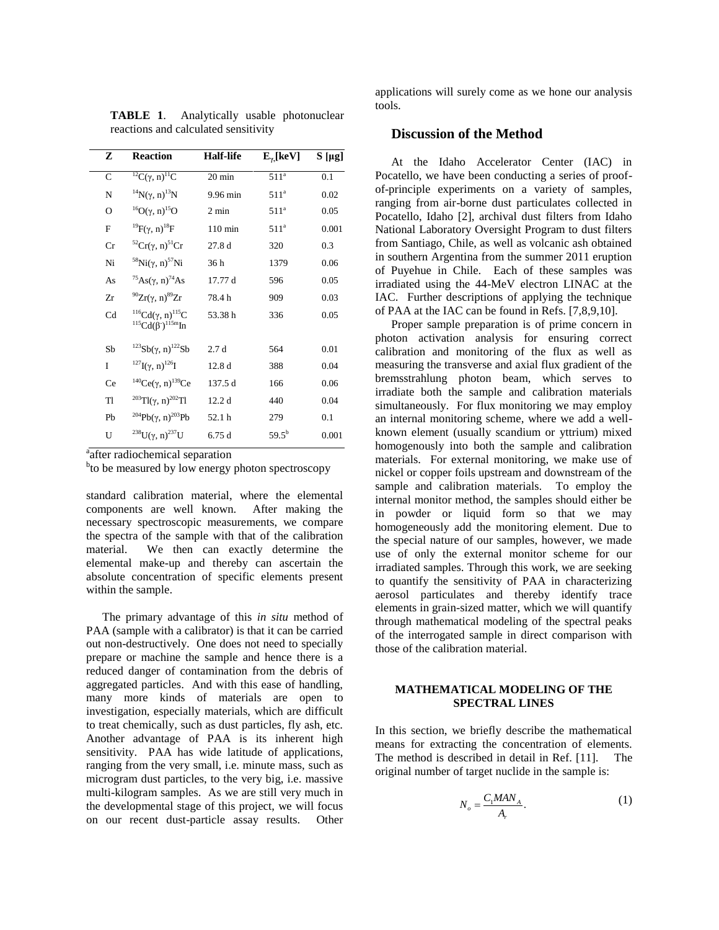| z              | <b>Reaction</b>                                                                              | <b>Half-life</b> | $E_{\gamma}$ [keV] | $S[\mu g]$ |
|----------------|----------------------------------------------------------------------------------------------|------------------|--------------------|------------|
| $\mathbf C$    | ${}^{12}C(\gamma, n){}^{11}C$                                                                | 20 min           | 511 <sup>a</sup>   | 0.1        |
| N              | ${}^{14}N(\gamma, n){}^{13}N$                                                                | 9.96 min         | 511 <sup>a</sup>   | 0.02       |
| O              | <sup>16</sup> O(γ, n) <sup>15</sup> O                                                        | $2 \text{ min}$  | 511 <sup>a</sup>   | 0.05       |
| F              | <sup>19</sup> F(γ, n) <sup>18</sup> F                                                        | $110$ min        | 511 <sup>a</sup>   | 0.001      |
| Cr             | ${}^{52}Cr(\gamma, n){}^{51}Cr$                                                              | 27.8d            | 320                | 0.3        |
| Ni             | <sup>58</sup> Ni(γ, n) <sup>57</sup> Ni                                                      | 36 h             | 1379               | 0.06       |
| As             | $^{75}$ As( $\gamma$ , n) <sup>74</sup> As                                                   | 17.77 d          | 596                | 0.05       |
| Zr             | $^{90}Zr(\gamma, n)^{89}Zr$                                                                  | 78.4h            | 909                | 0.03       |
| Cd             | <sup>116</sup> Cd(γ, n) <sup>115</sup> C<br>${}^{115}Cd(\beta^{\text{-}}){}^{115m}\text{In}$ | 53.38h           | 336                | 0.05       |
| Sb             | <sup>123</sup> Sb(γ, n) <sup>122</sup> Sb                                                    | 2.7d             | 564                | 0.01       |
| I              | $^{127}$ I( $\gamma$ , n) <sup>126</sup> I                                                   | 12.8d            | 388                | 0.04       |
| Ce             | <sup>140</sup> Ce(γ, n) <sup>139</sup> Ce                                                    | 137.5 d          | 166                | 0.06       |
| T <sub>1</sub> | <sup>203</sup> Tl( $\gamma$ , n) <sup>202</sup> Tl                                           | 12.2d            | 440                | 0.04       |
| Pb             | $^{204}Pb(\gamma, n)^{203}Pb$                                                                | 52.1 h           | 279                | 0.1        |
| U              | <sup>238</sup> U(γ, n) <sup>237</sup> U                                                      | 6.75d            | $59.5^{b}$         | 0.001      |

**TABLE 1**. Analytically usable photonuclear reactions and calculated sensitivity

<sup>a</sup> after radiochemical separation

<sup>b</sup>to be measured by low energy photon spectroscopy

standard calibration material, where the elemental components are well known. After making the necessary spectroscopic measurements, we compare the spectra of the sample with that of the calibration material. We then can exactly determine the elemental make-up and thereby can ascertain the absolute concentration of specific elements present within the sample.

The primary advantage of this *in situ* method of PAA (sample with a calibrator) is that it can be carried out non-destructively. One does not need to specially prepare or machine the sample and hence there is a reduced danger of contamination from the debris of aggregated particles. And with this ease of handling, many more kinds of materials are open to investigation, especially materials, which are difficult to treat chemically, such as dust particles, fly ash, etc. Another advantage of PAA is its inherent high sensitivity. PAA has wide latitude of applications, ranging from the very small, i.e. minute mass, such as microgram dust particles, to the very big, i.e. massive multi-kilogram samples. As we are still very much in the developmental stage of this project, we will focus on our recent dust-particle assay results. Other applications will surely come as we hone our analysis tools.

# **Discussion of the Method**

At the Idaho Accelerator Center (IAC) in Pocatello, we have been conducting a series of proofof-principle experiments on a variety of samples, ranging from air-borne dust particulates collected in Pocatello, Idaho [2], archival dust filters from Idaho National Laboratory Oversight Program to dust filters from Santiago, Chile, as well as volcanic ash obtained in southern Argentina from the summer 2011 eruption of Puyehue in Chile. Each of these samples was irradiated using the 44-MeV electron LINAC at the IAC. Further descriptions of applying the technique of PAA at the IAC can be found in Refs. [7,8,9,10].

Proper sample preparation is of prime concern in photon activation analysis for ensuring correct calibration and monitoring of the flux as well as measuring the transverse and axial flux gradient of the bremsstrahlung photon beam, which serves to irradiate both the sample and calibration materials simultaneously. For flux monitoring we may employ an internal monitoring scheme, where we add a wellknown element (usually scandium or yttrium) mixed homogenously into both the sample and calibration materials. For external monitoring, we make use of nickel or copper foils upstream and downstream of the sample and calibration materials. To employ the internal monitor method, the samples should either be in powder or liquid form so that we may homogeneously add the monitoring element. Due to the special nature of our samples, however, we made use of only the external monitor scheme for our irradiated samples. Through this work, we are seeking to quantify the sensitivity of PAA in characterizing aerosol particulates and thereby identify trace elements in grain-sized matter, which we will quantify through mathematical modeling of the spectral peaks of the interrogated sample in direct comparison with those of the calibration material.

#### **MATHEMATICAL MODELING OF THE SPECTRAL LINES**

In this section, we briefly describe the mathematical means for extracting the concentration of elements. The method is described in detail in Ref. [11]. The original number of target nuclide in the sample is:

$$
N_o = \frac{C_1 M A N_A}{A_r}.\tag{1}
$$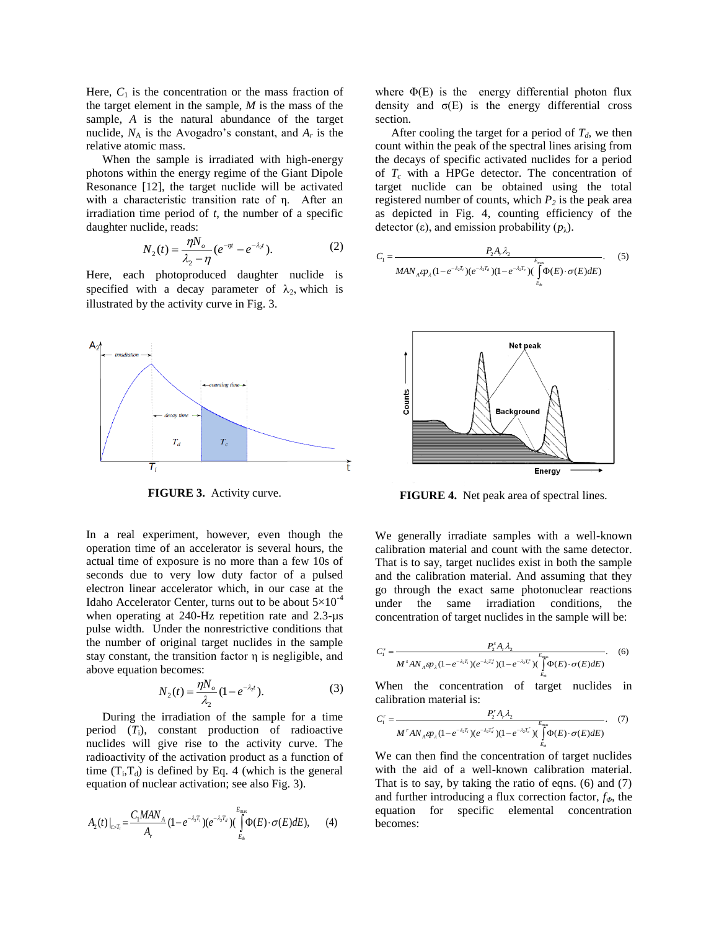Here,  $C_1$  is the concentration or the mass fraction of the target element in the sample, *M* is the mass of the sample, *A* is the natural abundance of the target nuclide,  $N_A$  is the Avogadro's constant, and  $A_r$  is the relative atomic mass.

When the sample is irradiated with high-energy photons within the energy regime of the Giant Dipole Resonance [12], the target nuclide will be activated with a characteristic transition rate of η. After an irradiation time period of *t*, the number of a specific daughter nuclide, reads:

$$
N_2(t) = \frac{\eta N_o}{\lambda_2 - \eta} (e^{-\eta t} - e^{-\lambda_2 t}).
$$
 (2)

Here, each photoproduced daughter nuclide is specified with a decay parameter of  $\lambda_2$ , which is illustrated by the activity curve in Fig. 3.



**FIGURE 3.** Activity curve.

In a real experiment, however, even though the operation time of an accelerator is several hours, the actual time of exposure is no more than a few 10s of seconds due to very low duty factor of a pulsed electron linear accelerator which, in our case at the Idaho Accelerator Center, turns out to be about  $5\times10^{-4}$ when operating at 240-Hz repetition rate and 2.3-µs pulse width. Under the nonrestrictive conditions that the number of original target nuclides in the sample stay constant, the transition factor η is negligible, and above equation becomes:

$$
N_2(t) = \frac{\eta N_o}{\lambda_2} (1 - e^{-\lambda_2 t}).
$$
 (3)

During the irradiation of the sample for a time period  $(T_i)$ , constant production of radioactive nuclides will give rise to the activity curve. The radioactivity of the activation product as a function of time  $(T_i, T_d)$  is defined by Eq. 4 (which is the general equation of nuclear activation; see also Fig. 3).

$$
A_2(t)|_{t>T_i} = \frac{C_1 MAN_A}{A_r} (1 - e^{-\lambda_2 T_i}) (e^{-\lambda_2 T_d}) (\int_{E_h}^{E_{\text{max}}} \Phi(E) \cdot \sigma(E) dE), \qquad (4)
$$

where  $\Phi(E)$  is the energy differential photon flux density and  $\sigma(E)$  is the energy differential cross section.

After cooling the target for a period of  $T_d$ , we then count within the peak of the spectral lines arising from the decays of specific activated nuclides for a period of  $T_c$  with a HPGe detector. The concentration of target nuclide can be obtained using the total registered number of counts, which  $P_2$  is the peak area as depicted in Fig. 4, counting efficiency of the detector (ε), and emission probability  $(p_\lambda)$ .

$$
C_1 = \frac{P_2 A_r \lambda_2}{M A N_A \varphi_{\lambda} (1 - e^{-\lambda_2 T_i}) (e^{-\lambda_2 T_d}) (1 - e^{-\lambda_2 T_c}) (\int_{E_R}^{E_{\text{max}}} \Phi(E) \cdot \sigma(E) dE)}.
$$
 (5)



**FIGURE 4.** Net peak area of spectral lines.

We generally irradiate samples with a well-known calibration material and count with the same detector. That is to say, target nuclides exist in both the sample and the calibration material. And assuming that they go through the exact same photonuclear reactions under the same irradiation conditions, the concentration of target nuclides in the sample will be:

$$
C_1^s = \frac{P_2^s A_r \lambda_2}{M^s A N_A \epsilon p_\lambda (1 - e^{-\lambda_2 T_i}) (e^{-\lambda_2 T_i^s}) (1 - e^{-\lambda_2 T_i^s}) (\bigoplus_{E_\delta}^{E_{\text{max}}})}.
$$
 (6)

When the concentration of target nuclides in calibration material is:

$$
C_1' = \frac{P_2' A_r \lambda_2}{M' A N_A \epsilon p_\lambda (1 - e^{-\lambda_2 T_i}) (e^{-\lambda_2 T_i'}) (1 - e^{-\lambda_2 T_i'}) (\bigcap_{E_n}^{E_{\text{max}}})}.
$$
 (7)

We can then find the concentration of target nuclides with the aid of a well-known calibration material. That is to say, by taking the ratio of eqns. (6) and (7) and further introducing a flux correction factor, *fΦ*, the equation for specific elemental concentration becomes: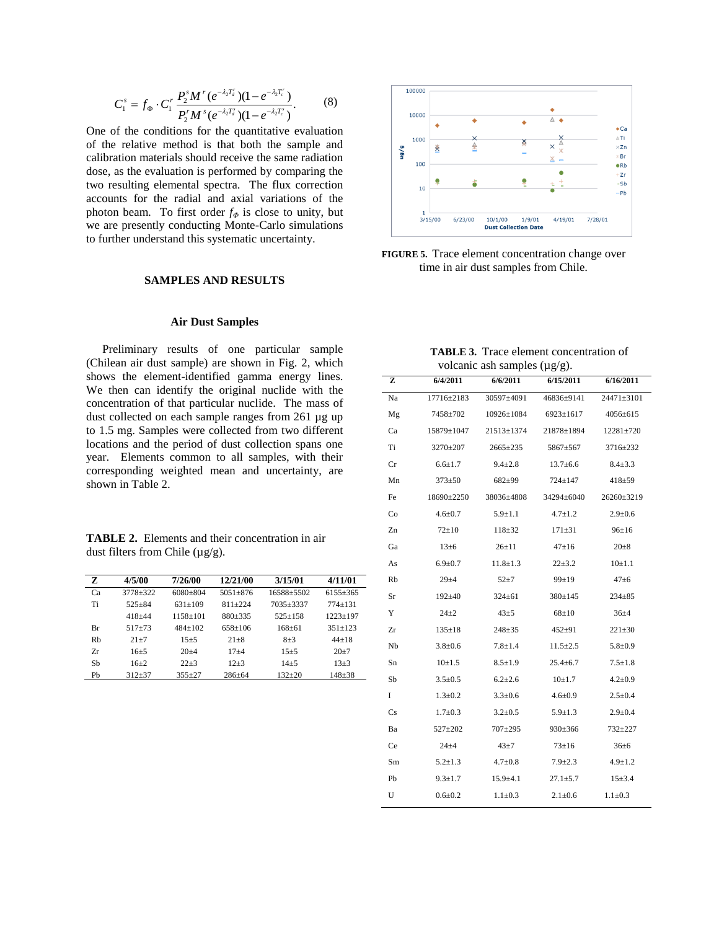$$
C_1^s = f_{\Phi} \cdot C_1^r \frac{P_2^s M^r (e^{-\lambda_2 T_d^r})(1 - e^{-\lambda_2 T_c^r})}{P_2^r M^s (e^{-\lambda_2 T_d^s})(1 - e^{-\lambda_2 T_c^s})}.
$$
 (8)

One of the conditions for the quantitative evaluation of the relative method is that both the sample and calibration materials should receive the same radiation dose, as the evaluation is performed by comparing the two resulting elemental spectra. The flux correction accounts for the radial and axial variations of the photon beam. To first order *f<sup>Φ</sup>* is close to unity, but we are presently conducting Monte-Carlo simulations to further understand this systematic uncertainty.

#### **SAMPLES AND RESULTS**

#### **Air Dust Samples**

Preliminary results of one particular sample (Chilean air dust sample) are shown in Fig. 2, which shows the element-identified gamma energy lines. We then can identify the original nuclide with the concentration of that particular nuclide. The mass of dust collected on each sample ranges from 261 µg up to 1.5 mg. Samples were collected from two different locations and the period of dust collection spans one year. Elements common to all samples, with their corresponding weighted mean and uncertainty, are shown in Table 2.

| <b>TABLE 2.</b> Elements and their concentration in air |
|---------------------------------------------------------|
| dust filters from Chile $(\mu g/g)$ .                   |

| Z  | 4/5/00     | 7/26/00    | 12/21/00     | 3/15/01    | 4/11/01      |
|----|------------|------------|--------------|------------|--------------|
| Ca | 3778+322   | $6080+804$ | $5051 + 876$ | 16588+5502 | $6155 + 365$ |
| Ti | $525 + 84$ | $631+109$  | $811 + 224$  | 7035+3337  | $774 + 131$  |
|    | $418 + 44$ | $1158+101$ | $880+335$    | $525+158$  | $1223+197$   |
| Вr | $517 + 73$ | $484+102$  | $658+106$    | $168 + 61$ | $351 + 123$  |
| Rh | $21 + 7$   | $15 + 5$   | $21 + 8$     | $8 + 3$    | $44 + 18$    |
| Zr | $16 + 5$   | $20+4$     | $17 + 4$     | $15 + 5$   | $20+7$       |
| Sb | $16+2$     | $22 + 3$   | $12 + 3$     | $14 + 5$   | $13 + 3$     |
| Ph | $312 + 37$ | $355+27$   | $286 + 64$   | $132 + 20$ | $148 + 38$   |



**FIGURE 5.** Trace element concentration change over time in air dust samples from Chile.

| <b>TABLE 3.</b> Trace element concentration of |  |
|------------------------------------------------|--|
| volcanic ash samples $(\mu g/g)$ .             |  |

| voicume asii samples $(\mu_S, \mu_S)$ . |               |                |                                  |                |
|-----------------------------------------|---------------|----------------|----------------------------------|----------------|
| z                                       | 6/4/2011      | 6/6/2011       | 6/15/2011                        | 6/16/2011      |
| Na                                      | 17716±2183    | 30597±4091     | 46836±9141                       | 24471±3101     |
| Mg                                      | 7458±702      |                | $10926 \pm 1084$ 6923 $\pm 1617$ | $4056 \pm 615$ |
| Ca                                      | 15879±1047    | 21513±1374     | 21878±1894                       | 12281±720      |
| Ti                                      | 3270±207      | $2665 \pm 235$ | 5867±567                         | 3716±232       |
| Cr                                      | $6.6 \pm 1.7$ | $9.4 \pm 2.8$  | $13.7 \pm 6.6$                   | $8.4 \pm 3.3$  |
| Mn                                      | $373 \pm 50$  | $682{\pm}99$   | $724 \pm 147$                    | $418 + 59$     |
| Fe                                      | 18690±2250    | 38036±4808     | 34294±6040                       | 26260±3219     |
| Co                                      | $4.6 \pm 0.7$ | $5.9 \pm 1.1$  | $4.7 \pm 1.2$                    | $2.9 \pm 0.6$  |
| Zn                                      | $72 \pm 10$   | $118 \pm 32$   | $171 \pm 31$                     | $96 \pm 16$    |
| Ga                                      | $13\pm 6$     | $26 \pm 11$    | $47 \pm 16$                      | $20 \pm 8$     |
| As                                      | $6.9 \pm 0.7$ | $11.8 \pm 1.3$ | $22 \pm 3.2$                     | $10 \pm 1.1$   |
| Rb                                      | $29 + 4$      | $52 + 7$       | $99 \pm 19$                      | $47\pm 6$      |
| Sr                                      | $192 + 40$    | $324 \pm 61$   | 380±145                          | $234 \pm 85$   |
| Y                                       | $24 + 2$      | $43\pm5$       | $68 \pm 10$                      | $36 + 4$       |
| Zr                                      | $135 \pm 18$  | $248 + 35$     | $452 \pm 91$                     | $221 \pm 30$   |
| $_{\rm Nb}$                             | $3.8 \pm 0.6$ | $7.8 \pm 1.4$  | $11.5 \pm 2.5$                   | $5.8 \pm 0.9$  |
| Sn                                      | $10+1.5$      | $8.5 \pm 1.9$  | $25.4 \pm 6.7$                   | $7.5 \pm 1.8$  |
| Sb                                      | $3.5 \pm 0.5$ | $6.2 \pm 2.6$  | $10 \pm 1.7$                     | $4.2 \pm 0.9$  |
| I                                       | $1.3 \pm 0.2$ | $3.3 \pm 0.6$  | $4.6 \pm 0.9$                    | $2.5 \pm 0.4$  |
| Cs                                      | $1.7 \pm 0.3$ | $3.2 \pm 0.5$  | $5.9 \pm 1.3$                    | $2.9 \pm 0.4$  |
| Ba                                      | 527±202       | 707±295        | 930±366                          | 732±227        |
| Ce                                      | $24 \pm 4$    | $43\pm7$       | $73 \pm 16$                      | $36\pm 6$      |
| Sm                                      | $5.2 \pm 1.3$ | $4.7 \pm 0.8$  | $7.9 \pm 2.3$                    | $4.9 \pm 1.2$  |
| Pb                                      | $9.3 \pm 1.7$ | $15.9 \pm 4.1$ | $27.1 \pm 5.7$                   | $15 \pm 3.4$   |
| U                                       | $0.6 + 0.2$   | $1.1 \pm 0.3$  | $2.1 \pm 0.6$                    | $1.1 \pm 0.3$  |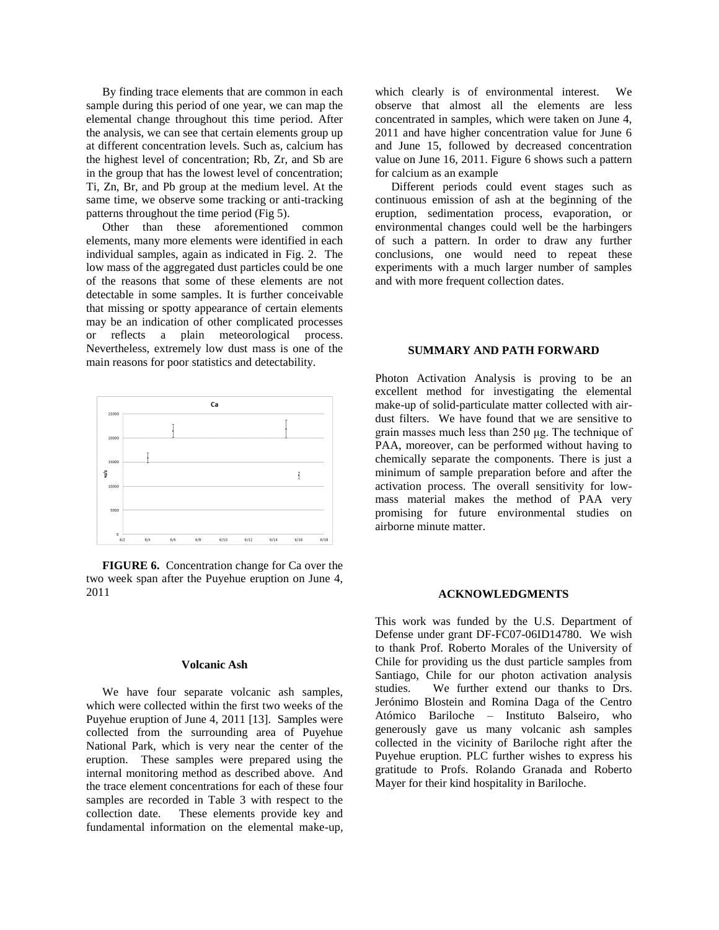By finding trace elements that are common in each sample during this period of one year, we can map the elemental change throughout this time period. After the analysis, we can see that certain elements group up at different concentration levels. Such as, calcium has the highest level of concentration; Rb, Zr, and Sb are in the group that has the lowest level of concentration; Ti, Zn, Br, and Pb group at the medium level. At the same time, we observe some tracking or anti-tracking patterns throughout the time period (Fig 5).

Other than these aforementioned common elements, many more elements were identified in each individual samples, again as indicated in Fig. 2. The low mass of the aggregated dust particles could be one of the reasons that some of these elements are not detectable in some samples. It is further conceivable that missing or spotty appearance of certain elements may be an indication of other complicated processes or reflects a plain meteorological process. Nevertheless, extremely low dust mass is one of the main reasons for poor statistics and detectability.



**FIGURE 6.** Concentration change for Ca over the two week span after the Puyehue eruption on June 4, 2011

#### **Volcanic Ash**

We have four separate volcanic ash samples, which were collected within the first two weeks of the Puyehue eruption of June 4, 2011 [13]. Samples were collected from the surrounding area of Puyehue National Park, which is very near the center of the eruption. These samples were prepared using the internal monitoring method as described above. And the trace element concentrations for each of these four samples are recorded in Table 3 with respect to the collection date. These elements provide key and fundamental information on the elemental make-up,

which clearly is of environmental interest. We observe that almost all the elements are less concentrated in samples, which were taken on June 4, 2011 and have higher concentration value for June 6 and June 15, followed by decreased concentration value on June 16, 2011. Figure 6 shows such a pattern for calcium as an example

Different periods could event stages such as continuous emission of ash at the beginning of the eruption, sedimentation process, evaporation, or environmental changes could well be the harbingers of such a pattern. In order to draw any further conclusions, one would need to repeat these experiments with a much larger number of samples and with more frequent collection dates.

#### **SUMMARY AND PATH FORWARD**

Photon Activation Analysis is proving to be an excellent method for investigating the elemental make-up of solid-particulate matter collected with airdust filters. We have found that we are sensitive to grain masses much less than 250 μg. The technique of PAA, moreover, can be performed without having to chemically separate the components. There is just a minimum of sample preparation before and after the activation process. The overall sensitivity for lowmass material makes the method of PAA very promising for future environmental studies on airborne minute matter.

#### **ACKNOWLEDGMENTS**

This work was funded by the U.S. Department of Defense under grant DF-FC07-06ID14780. We wish to thank Prof. Roberto Morales of the University of Chile for providing us the dust particle samples from Santiago, Chile for our photon activation analysis studies. We further extend our thanks to Drs. Jerónimo Blostein and Romina Daga of the Centro Atómico Bariloche – Instituto Balseiro, who generously gave us many volcanic ash samples collected in the vicinity of Bariloche right after the Puyehue eruption. PLC further wishes to express his gratitude to Profs. Rolando Granada and Roberto Mayer for their kind hospitality in Bariloche.